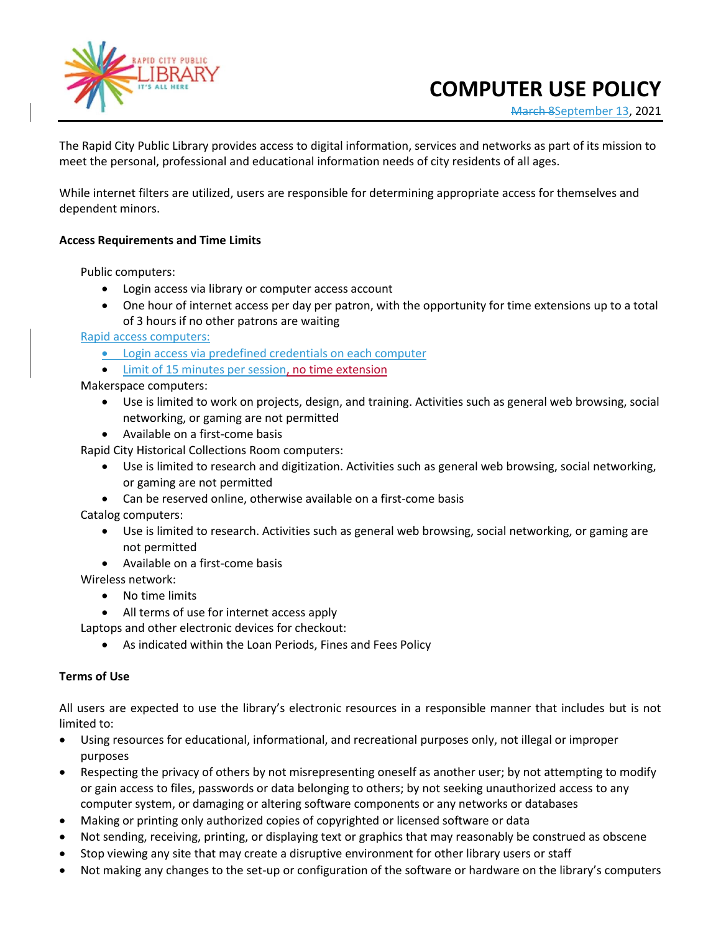

## **COMPUTER USE POLICY**

March 8September 13, 2021

The Rapid City Public Library provides access to digital information, services and networks as part of its mission to meet the personal, professional and educational information needs of city residents of all ages.

While internet filters are utilized, users are responsible for determining appropriate access for themselves and dependent minors.

## **Access Requirements and Time Limits**

Public computers:

- Login access via library or computer access account
- One hour of internet access per day per patron, with the opportunity for time extensions up to a total of 3 hours if no other patrons are waiting

Rapid access computers:

- Login access via predefined credentials on each computer
- Limit of 15 minutes per session, no time extension

Makerspace computers:

- Use is limited to work on projects, design, and training. Activities such as general web browsing, social networking, or gaming are not permitted
- Available on a first-come basis

Rapid City Historical Collections Room computers:

- Use is limited to research and digitization. Activities such as general web browsing, social networking, or gaming are not permitted
- Can be reserved online, otherwise available on a first-come basis

Catalog computers:

- Use is limited to research. Activities such as general web browsing, social networking, or gaming are not permitted
- Available on a first-come basis
- Wireless network:
	- No time limits
	- All terms of use for internet access apply

Laptops and other electronic devices for checkout:

• As indicated within the Loan Periods, Fines and Fees Policy

## **Terms of Use**

All users are expected to use the library's electronic resources in a responsible manner that includes but is not limited to:

- Using resources for educational, informational, and recreational purposes only, not illegal or improper purposes
- Respecting the privacy of others by not misrepresenting oneself as another user; by not attempting to modify or gain access to files, passwords or data belonging to others; by not seeking unauthorized access to any computer system, or damaging or altering software components or any networks or databases
- Making or printing only authorized copies of copyrighted or licensed software or data
- Not sending, receiving, printing, or displaying text or graphics that may reasonably be construed as obscene
- Stop viewing any site that may create a disruptive environment for other library users or staff
- Not making any changes to the set-up or configuration of the software or hardware on the library's computers